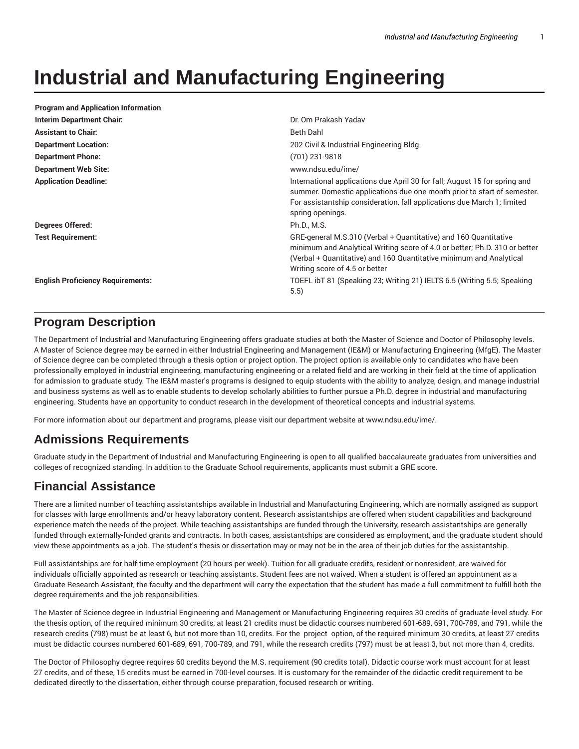## **Industrial and Manufacturing Engineering**

| <b>Program and Application Information</b> |                                                                                                                                                                                                                                                         |
|--------------------------------------------|---------------------------------------------------------------------------------------------------------------------------------------------------------------------------------------------------------------------------------------------------------|
| <b>Interim Department Chair:</b>           | Dr. Om Prakash Yadav                                                                                                                                                                                                                                    |
| <b>Assistant to Chair:</b>                 | Beth Dahl                                                                                                                                                                                                                                               |
| <b>Department Location:</b>                | 202 Civil & Industrial Engineering Bldg.                                                                                                                                                                                                                |
| <b>Department Phone:</b>                   | (701) 231-9818                                                                                                                                                                                                                                          |
| <b>Department Web Site:</b>                | www.ndsu.edu/ime/                                                                                                                                                                                                                                       |
| <b>Application Deadline:</b>               | International applications due April 30 for fall; August 15 for spring and<br>summer. Domestic applications due one month prior to start of semester.<br>For assistantship consideration, fall applications due March 1; limited<br>spring openings.    |
| Degrees Offered:                           | Ph.D., M.S.                                                                                                                                                                                                                                             |
| <b>Test Requirement:</b>                   | GRE-general M.S.310 (Verbal + Quantitative) and 160 Quantitative<br>minimum and Analytical Writing score of 4.0 or better; Ph.D. 310 or better<br>(Verbal + Quantitative) and 160 Quantitative minimum and Analytical<br>Writing score of 4.5 or better |
| <b>English Proficiency Requirements:</b>   | TOEFL ibT 81 (Speaking 23; Writing 21) IELTS 6.5 (Writing 5.5; Speaking<br>5.5)                                                                                                                                                                         |

## **Program Description**

The Department of Industrial and Manufacturing Engineering offers graduate studies at both the Master of Science and Doctor of Philosophy levels. A Master of Science degree may be earned in either Industrial Engineering and Management (IE&M) or Manufacturing Engineering (MfgE). The Master of Science degree can be completed through a thesis option or project option. The project option is available only to candidates who have been professionally employed in industrial engineering, manufacturing engineering or a related field and are working in their field at the time of application for admission to graduate study. The IE&M master's programs is designed to equip students with the ability to analyze, design, and manage industrial and business systems as well as to enable students to develop scholarly abilities to further pursue a Ph.D. degree in industrial and manufacturing engineering. Students have an opportunity to conduct research in the development of theoretical concepts and industrial systems.

For more information about our department and programs, please visit our department website at www.ndsu.edu/ime/.

## **Admissions Requirements**

Graduate study in the Department of Industrial and Manufacturing Engineering is open to all qualified baccalaureate graduates from universities and colleges of recognized standing. In addition to the Graduate School requirements, applicants must submit a GRE score.

## **Financial Assistance**

There are a limited number of teaching assistantships available in Industrial and Manufacturing Engineering, which are normally assigned as support for classes with large enrollments and/or heavy laboratory content. Research assistantships are offered when student capabilities and background experience match the needs of the project. While teaching assistantships are funded through the University, research assistantships are generally funded through externally-funded grants and contracts. In both cases, assistantships are considered as employment, and the graduate student should view these appointments as a job. The student's thesis or dissertation may or may not be in the area of their job duties for the assistantship.

Full assistantships are for half-time employment (20 hours per week). Tuition for all graduate credits, resident or nonresident, are waived for individuals officially appointed as research or teaching assistants. Student fees are not waived. When a student is offered an appointment as a Graduate Research Assistant, the faculty and the department will carry the expectation that the student has made a full commitment to fulfill both the degree requirements and the job responsibilities.

The Master of Science degree in Industrial Engineering and Management or Manufacturing Engineering requires 30 credits of graduate-level study. For the thesis option, of the required minimum 30 credits, at least 21 credits must be didactic courses numbered 601-689, 691, 700-789, and 791, while the research credits (798) must be at least 6, but not more than 10, credits. For the project option, of the required minimum 30 credits, at least 27 credits must be didactic courses numbered 601-689, 691, 700-789, and 791, while the research credits (797) must be at least 3, but not more than 4, credits.

The Doctor of Philosophy degree requires 60 credits beyond the M.S. requirement (90 credits total). Didactic course work must account for at least 27 credits, and of these, 15 credits must be earned in 700-level courses. It is customary for the remainder of the didactic credit requirement to be dedicated directly to the dissertation, either through course preparation, focused research or writing.